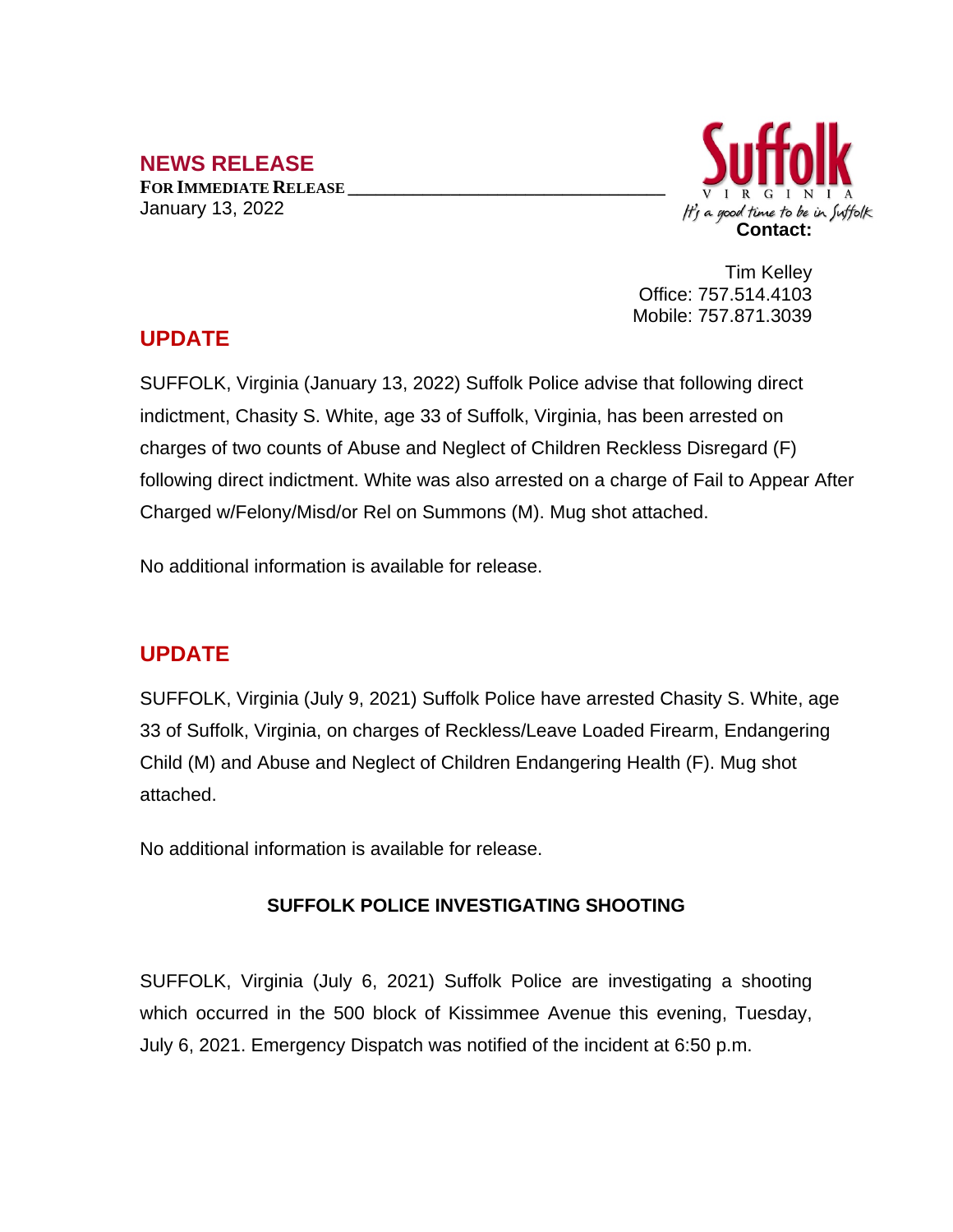## **NEWS RELEASE**

**FOR IMMEDIATE RELEASE \_\_\_\_\_\_\_\_\_\_\_\_\_\_\_\_\_\_\_\_\_\_\_\_\_\_\_\_\_\_\_\_\_\_** January 13, 2022



Tim Kelley Office: 757.514.4103 Mobile: 757.871.3039

## **UPDATE**

SUFFOLK, Virginia (January 13, 2022) Suffolk Police advise that following direct indictment, Chasity S. White, age 33 of Suffolk, Virginia, has been arrested on charges of two counts of Abuse and Neglect of Children Reckless Disregard (F) following direct indictment. White was also arrested on a charge of Fail to Appear After Charged w/Felony/Misd/or Rel on Summons (M). Mug shot attached.

No additional information is available for release.

## **UPDATE**

SUFFOLK, Virginia (July 9, 2021) Suffolk Police have arrested Chasity S. White, age 33 of Suffolk, Virginia, on charges of Reckless/Leave Loaded Firearm, Endangering Child (M) and Abuse and Neglect of Children Endangering Health (F). Mug shot attached.

No additional information is available for release.

## **SUFFOLK POLICE INVESTIGATING SHOOTING**

SUFFOLK, Virginia (July 6, 2021) Suffolk Police are investigating a shooting which occurred in the 500 block of Kissimmee Avenue this evening, Tuesday, July 6, 2021. Emergency Dispatch was notified of the incident at 6:50 p.m.